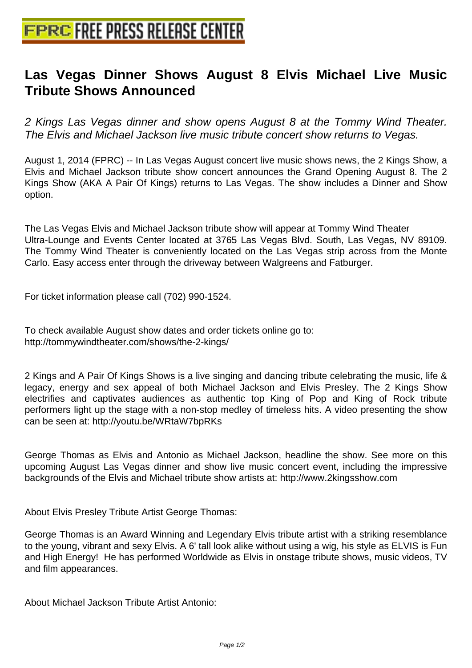## **[Las Vegas Dinner Shows Augus](http://www.free-press-release-center.info)t 8 Elvis Michael Live Music Tribute Shows Announced**

2 Kings Las Vegas dinner and show opens August 8 at the Tommy Wind Theater. The Elvis and Michael Jackson live music tribute concert show returns to Vegas.

August 1, 2014 (FPRC) -- In Las Vegas August concert live music shows news, the 2 Kings Show, a Elvis and Michael Jackson tribute show concert announces the Grand Opening August 8. The 2 Kings Show (AKA A Pair Of Kings) returns to Las Vegas. The show includes a Dinner and Show option.

The Las Vegas Elvis and Michael Jackson tribute show will appear at Tommy Wind Theater Ultra-Lounge and Events Center located at 3765 Las Vegas Blvd. South, Las Vegas, NV 89109. The Tommy Wind Theater is conveniently located on the Las Vegas strip across from the Monte Carlo. Easy access enter through the driveway between Walgreens and Fatburger.

For ticket information please call (702) 990-1524.

To check available August show dates and order tickets online go to: http://tommywindtheater.com/shows/the-2-kings/

2 Kings and A Pair Of Kings Shows is a live singing and dancing tribute celebrating the music, life & legacy, energy and sex appeal of both Michael Jackson and Elvis Presley. The 2 Kings Show electrifies and captivates audiences as authentic top King of Pop and King of Rock tribute performers light up the stage with a non-stop medley of timeless hits. A video presenting the show can be seen at: http://youtu.be/WRtaW7bpRKs

George Thomas as Elvis and Antonio as Michael Jackson, headline the show. See more on this upcoming August Las Vegas dinner and show live music concert event, including the impressive backgrounds of the Elvis and Michael tribute show artists at: http://www.2kingsshow.com

About Elvis Presley Tribute Artist George Thomas:

George Thomas is an Award Winning and Legendary Elvis tribute artist with a striking resemblance to the young, vibrant and sexy Elvis. A 6' tall look alike without using a wig, his style as ELVIS is Fun and High Energy! He has performed Worldwide as Elvis in onstage tribute shows, music videos, TV and film appearances.

About Michael Jackson Tribute Artist Antonio: